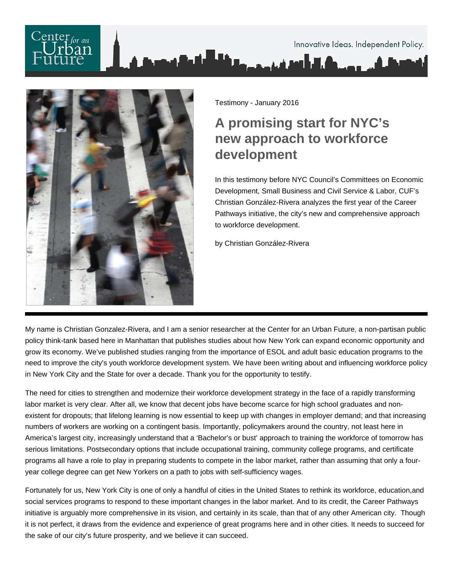## Innovative Ideas. Independent Policy. لتأهمه فريز



Testimony - January 2016

## **A promising start for NYC's new approach to workforce development**

In this testimony before NYC Council's Committees on Economic Development, Small Business and Civil Service & Labor, CUF's Christian González-Rivera analyzes the first year of the Career Pathways initiative, the city's new and comprehensive approach to workforce development.

by Christian González-Rivera

My name is Christian Gonzalez-Rivera, and I am a senior researcher at the Center for an Urban Future, a non-partisan public policy think-tank based here in Manhattan that publishes studies about how New York can expand economic opportunity and grow its economy. We've published studies ranging from the importance of ESOL and adult basic education programs to the need to improve the city's youth workforce development system. We have been writing about and influencing workforce policy in New York City and the State for over a decade. Thank you for the opportunity to testify.

The need for cities to strengthen and modernize their workforce development strategy in the face of a rapidly transforming labor market is very clear. After all, we know that decent jobs have become scarce for high school graduates and nonexistent for dropouts; that lifelong learning is now essential to keep up with changes in employer demand; and that increasing numbers of workers are working on a contingent basis. Importantly, policymakers around the country, not least here in America's largest city, increasingly understand that a 'Bachelor's or bust' approach to training the workforce of tomorrow has serious limitations. Postsecondary options that include occupational training, community college programs, and certificate programs all have a role to play in preparing students to compete in the labor market, rather than assuming that only a fouryear college degree can get New Yorkers on a path to jobs with self-sufficiency wages.

Fortunately for us, New York City is one of only a handful of cities in the United States to rethink its workforce, education, and social services programs to respond to these important changes in the labor market. And to its credit, the Career Pathways initiative is arguably more comprehensive in its vision, and certainly in its scale, than that of any other American city. Though it is not perfect, it draws from the evidence and experience of great programs here and in other cities. It needs to succeed for the sake of our city's future prosperity, and we believe it can succeed.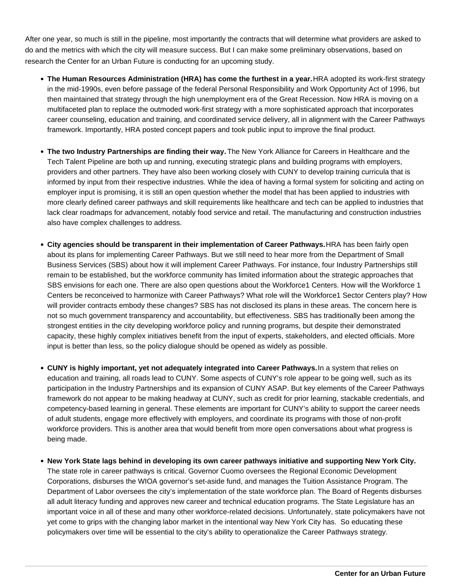After one year, so much is still in the pipeline, most importantly the contracts that will determine what providers are asked to do and the metrics with which the city will measure success. But I can make some preliminary observations, based on research the Center for an Urban Future is conducting for an upcoming study.

- The Human Resources Administration (HRA) has come the furthest in a year. HRA adopted its work-first strategy in the mid-1990s, even before passage of the federal Personal Responsibility and Work Opportunity Act of 1996, but then maintained that strategy through the high unemployment era of the Great Recession. Now HRA is moving on a multifaceted plan to replace the outmoded work-first strategy with a more sophisticated approach that incorporates career counseling, education and training, and coordinated service delivery, all in alignment with the Career Pathways framework. Importantly, HRA posted concept papers and took public input to improve the final product.
- **The two Industry Partnerships are finding their way.** The New York Alliance for Careers in Healthcare and the Tech Talent Pipeline are both up and running, executing strategic plans and building programs with employers, providers and other partners. They have also been working closely with CUNY to develop training curricula that is informed by input from their respective industries. While the idea of having a formal system for soliciting and acting on employer input is promising, it is still an open question whether the model that has been applied to industries with more clearly defined career pathways and skill requirements like healthcare and tech can be applied to industries that lack clear roadmaps for advancement, notably food service and retail. The manufacturing and construction industries also have complex challenges to address.
- **City agencies should be transparent in their implementation of Career Pathways. HRA has been fairly open by the transparent open** about its plans for implementing Career Pathways. But we still need to hear more from the Department of Small Business Services (SBS) about how it will implement Career Pathways. For instance, four Industry Partnerships still remain to be established, but the workforce community has limited information about the strategic approaches that SBS envisions for each one. There are also open questions about the Workforce1 Centers. How will the Workforce 1 Centers be reconceived to harmonize with Career Pathways? What role will the Workforce1 Sector Centers play? How will provider contracts embody these changes? SBS has not disclosed its plans in these areas. The concern here is not so much government transparency and accountability, but effectiveness. SBS has traditionally been among the strongest entities in the city developing workforce policy and running programs, but despite their demonstrated capacity, these highly complex initiatives benefit from the input of experts, stakeholders, and elected officials. More input is better than less, so the policy dialogue should be opened as widely as possible.
- **CUNY is highly important, yet not adequately integrated into Career Pathways.** In a system that relies on education and training, all roads lead to CUNY. Some aspects of CUNY's role appear to be going well, such as its participation in the Industry Partnerships and its expansion of CUNY ASAP. But key elements of the Career Pathways framework do not appear to be making headway at CUNY, such as credit for prior learning, stackable credentials, and competency-based learning in general. These elements are important for CUNY's ability to support the career needs of adult students, engage more effectively with employers, and coordinate its programs with those of non-profit workforce providers. This is another area that would benefit from more open conversations about what progress is being made.
- **New York State lags behind in developing its own career pathways initiative and supporting New York City.** The state role in career pathways is critical. Governor Cuomo oversees the Regional Economic Development Corporations, disburses the WIOA governor's set-aside fund, and manages the Tuition Assistance Program. The Department of Labor oversees the city's implementation of the state workforce plan. The Board of Regents disburses all adult literacy funding and approves new career and technical education programs. The State Legislature has an important voice in all of these and many other workforce-related decisions. Unfortunately, state policymakers have not yet come to grips with the changing labor market in the intentional way New York City has. So educating these policymakers over time will be essential to the city's ability to operationalize the Career Pathways strategy.